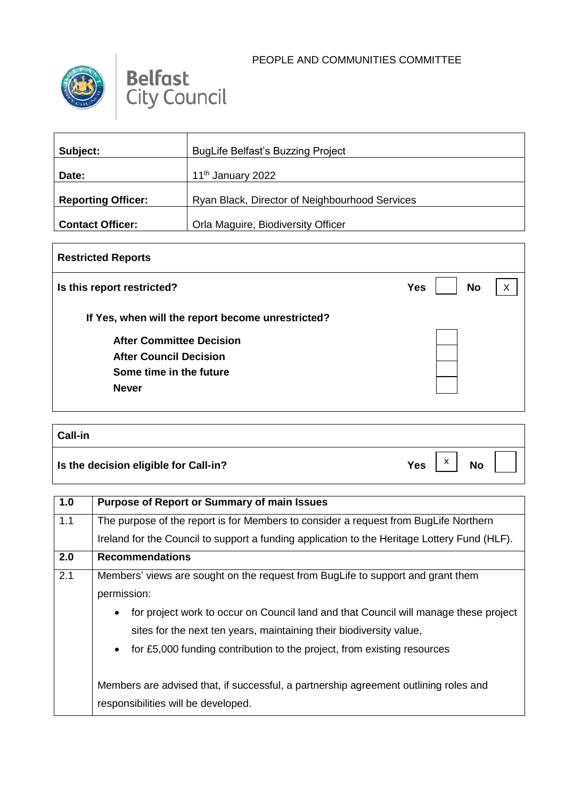



| Subject:                  | <b>BugLife Belfast's Buzzing Project</b>       |
|---------------------------|------------------------------------------------|
| Date:                     | 11 <sup>th</sup> January 2022                  |
| <b>Reporting Officer:</b> | Ryan Black, Director of Neighbourhood Services |
| <b>Contact Officer:</b>   | Orla Maguire, Biodiversity Officer             |

## **Restricted Reports Is this report restricted? No If Yes, when will the report become unrestricted? After Committee Decision After Council Decision Some time in the future Never Call-in**  $\mathsf{X}$

| ∣ ∪dii∹ili                            |     |                              |           |  |
|---------------------------------------|-----|------------------------------|-----------|--|
| Is the decision eligible for Call-in? | Yes | $\overline{\mathbf{v}}$<br>ᄉ | <b>No</b> |  |

| 1.0 | <b>Purpose of Report or Summary of main Issues</b>                                                                                                                                                                                                               |
|-----|------------------------------------------------------------------------------------------------------------------------------------------------------------------------------------------------------------------------------------------------------------------|
| 1.1 | The purpose of the report is for Members to consider a request from BugLife Northern                                                                                                                                                                             |
|     | Ireland for the Council to support a funding application to the Heritage Lottery Fund (HLF).                                                                                                                                                                     |
| 2.0 | <b>Recommendations</b>                                                                                                                                                                                                                                           |
| 2.1 | Members' views are sought on the request from BugLife to support and grant them<br>permission:                                                                                                                                                                   |
|     | for project work to occur on Council land and that Council will manage these project<br>$\bullet$<br>sites for the next ten years, maintaining their biodiversity value,<br>for £5,000 funding contribution to the project, from existing resources<br>$\bullet$ |
|     | Members are advised that, if successful, a partnership agreement outlining roles and<br>responsibilities will be developed.                                                                                                                                      |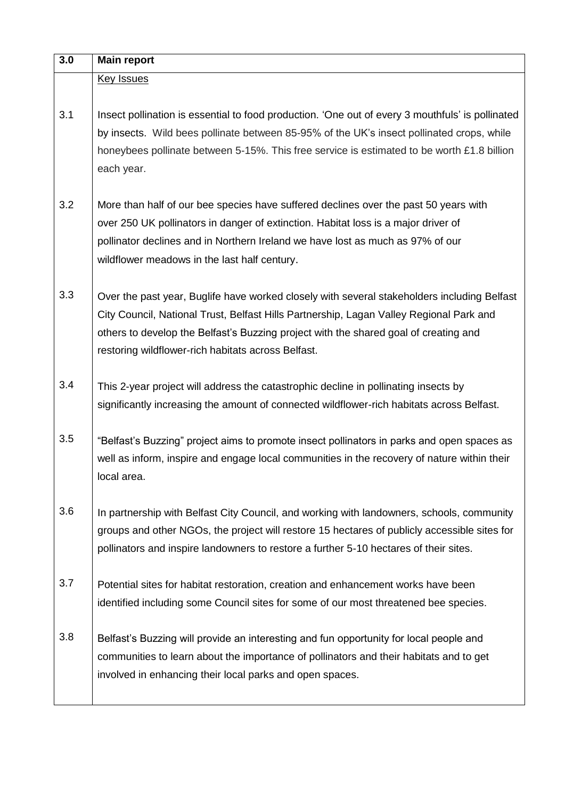| 3.0 | <b>Main report</b>                                                                                                                                                                                                                                                                                                                   |
|-----|--------------------------------------------------------------------------------------------------------------------------------------------------------------------------------------------------------------------------------------------------------------------------------------------------------------------------------------|
|     | <b>Key Issues</b>                                                                                                                                                                                                                                                                                                                    |
| 3.1 | Insect pollination is essential to food production. 'One out of every 3 mouthfuls' is pollinated<br>by insects. Wild bees pollinate between 85-95% of the UK's insect pollinated crops, while<br>honeybees pollinate between 5-15%. This free service is estimated to be worth £1.8 billion<br>each year.                            |
| 3.2 | More than half of our bee species have suffered declines over the past 50 years with<br>over 250 UK pollinators in danger of extinction. Habitat loss is a major driver of<br>pollinator declines and in Northern Ireland we have lost as much as 97% of our<br>wildflower meadows in the last half century.                         |
| 3.3 | Over the past year, Buglife have worked closely with several stakeholders including Belfast<br>City Council, National Trust, Belfast Hills Partnership, Lagan Valley Regional Park and<br>others to develop the Belfast's Buzzing project with the shared goal of creating and<br>restoring wildflower-rich habitats across Belfast. |
| 3.4 | This 2-year project will address the catastrophic decline in pollinating insects by<br>significantly increasing the amount of connected wildflower-rich habitats across Belfast.                                                                                                                                                     |
| 3.5 | "Belfast's Buzzing" project aims to promote insect pollinators in parks and open spaces as<br>well as inform, inspire and engage local communities in the recovery of nature within their<br>local area.                                                                                                                             |
| 3.6 | In partnership with Belfast City Council, and working with landowners, schools, community<br>groups and other NGOs, the project will restore 15 hectares of publicly accessible sites for<br>pollinators and inspire landowners to restore a further 5-10 hectares of their sites.                                                   |
| 3.7 | Potential sites for habitat restoration, creation and enhancement works have been<br>identified including some Council sites for some of our most threatened bee species.                                                                                                                                                            |
| 3.8 | Belfast's Buzzing will provide an interesting and fun opportunity for local people and<br>communities to learn about the importance of pollinators and their habitats and to get<br>involved in enhancing their local parks and open spaces.                                                                                         |